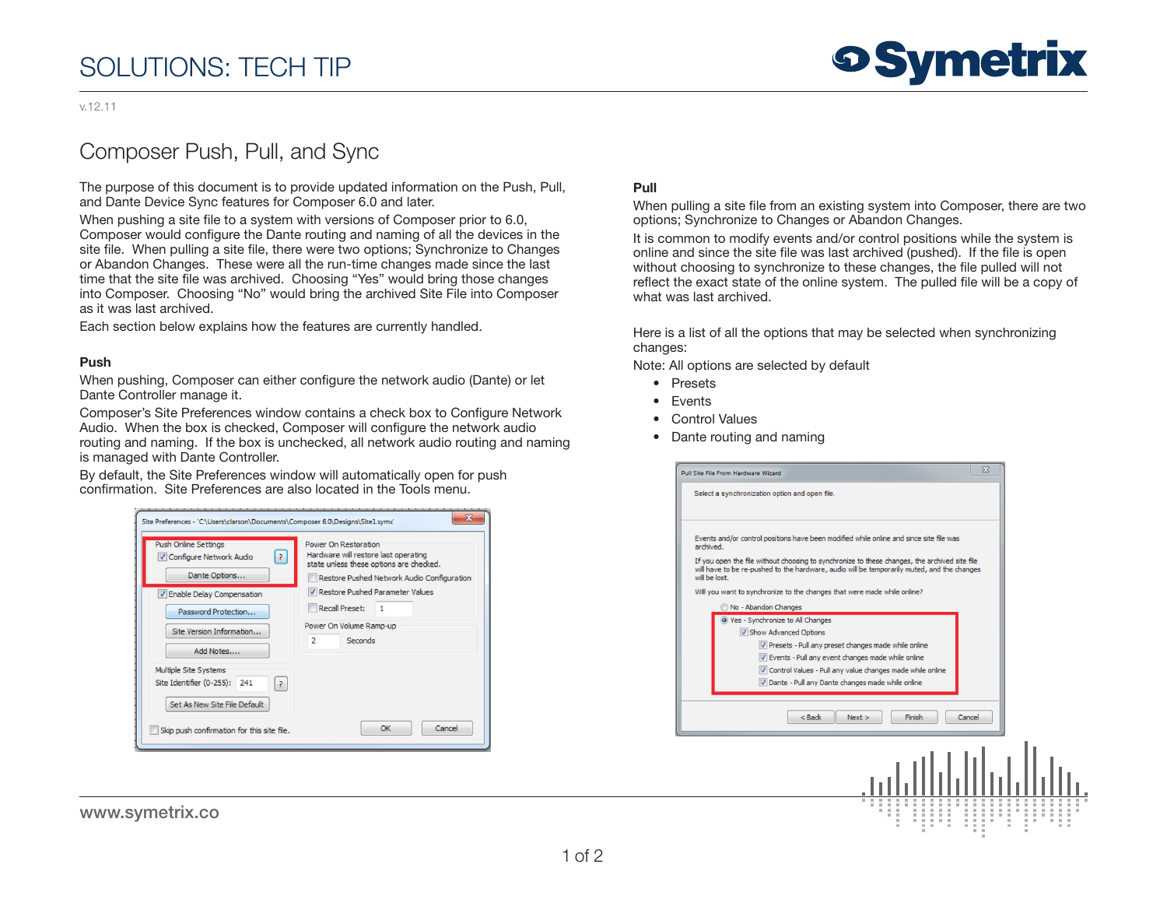# SOLUTIONS: TECH TIP

# **9 Symetrix**

#### v.12.11

## Composer Push, Pull, and Sync

The purpose of this document is to provide updated information on the Push, Pull, and Dante Device Sync features for Composer 6.0 and later.

When pushing a site file to a system with versions of Composer prior to 6.0, Composer would configure the Dante routing and naming of all the devices in the site file. When pulling a site file, there were two options; Synchronize to Changes or Abandon Changes. These were all the run-time changes made since the last time that the site file was archived. Choosing "Yes" would bring those changes into Composer. Choosing "No" would bring the archived Site File into Composer as it was last archived.

Each section below explains how the features are currently handled.

#### Push

When pushing, Composer can either configure the network audio (Dante) or let Dante Controller manage it.

Composer's Site Preferences window contains a check box to Configure Network Audio. When the box is checked, Composer will configure the network audio routing and naming. If the box is unchecked, all network audio routing and naming is managed with Dante Controller.

By default, the Site Preferences window will automatically open for push confirmation. Site Preferences are also located in the Tools menu.

| Push Online Settings<br>V Configure Network Audio<br>13.<br>Dante Options                  | Power On Restoration<br>Hardware will restore last operating<br>state unless these options are checked.<br>Restore Pushed Network Audio Configuration |
|--------------------------------------------------------------------------------------------|-------------------------------------------------------------------------------------------------------------------------------------------------------|
| V Enable Delay Compensation<br>Password Protection                                         | V Restore Pushed Parameter Values<br><b>Recall Preset:</b><br>$\blacksquare$                                                                          |
| Site Version Information<br>Add Notes                                                      | Power On Volume Ramp-up<br>$\overline{2}$<br>Seconds                                                                                                  |
| Multiple Site Systems<br>Site Identifier (0-255): 241<br>?<br>Set As New Site File Default |                                                                                                                                                       |
| Skip push confirmation for this site file.                                                 | Cancel<br>OK                                                                                                                                          |

www.symetrix.co

#### Pull

When pulling a site file from an existing system into Composer, there are two options; Synchronize to Changes or Abandon Changes.

It is common to modify events and/or control positions while the system is online and since the site file was last archived (pushed). If the file is open without choosing to synchronize to these changes, the file pulled will not reflect the exact state of the online system. The pulled file will be a copy of what was last archived.

Here is a list of all the options that may be selected when synchronizing changes:

Note: All options are selected by default

- Presets
- Events
- Control Values
- Dante routing and naming

| $\Sigma$<br>Pull Site File From Hardware Wizard                                                                                                                                                       |  |
|-------------------------------------------------------------------------------------------------------------------------------------------------------------------------------------------------------|--|
| Select a synchronization option and open file.                                                                                                                                                        |  |
| Events and/or control positions have been modified while online and since site file was<br>archived.<br>If you open the file without choosing to synchronize to these changes, the archived site file |  |
| will have to be re-pushed to the hardware, audio will be temporarily muted, and the changes<br>will be lost.                                                                                          |  |
| Will you want to synchronize to the changes that were made while online?                                                                                                                              |  |
| No - Abandon Changes                                                                                                                                                                                  |  |
| O Yes - Synchronize to All Changes                                                                                                                                                                    |  |
| V Show Advanced Options                                                                                                                                                                               |  |
| Presets - Pull any preset changes made while online                                                                                                                                                   |  |
| V Events - Pull any event changes made while online                                                                                                                                                   |  |
| Control Values - Pull any value changes made while online                                                                                                                                             |  |
| Dante - Pull any Dante changes made while online                                                                                                                                                      |  |
|                                                                                                                                                                                                       |  |
| Cancel<br>$<$ Back<br>Next<br>Finish                                                                                                                                                                  |  |
|                                                                                                                                                                                                       |  |
|                                                                                                                                                                                                       |  |
|                                                                                                                                                                                                       |  |
|                                                                                                                                                                                                       |  |